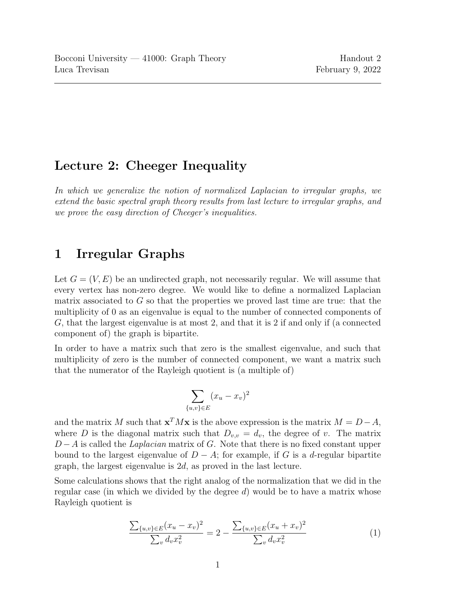#### Lecture 2: Cheeger Inequality

In which we generalize the notion of normalized Laplacian to irregular graphs, we extend the basic spectral graph theory results from last lecture to irregular graphs, and we prove the easy direction of Cheeger's inequalities.

### 1 Irregular Graphs

Let  $G = (V, E)$  be an undirected graph, not necessarily regular. We will assume that every vertex has non-zero degree. We would like to define a normalized Laplacian matrix associated to  $G$  so that the properties we proved last time are true: that the multiplicity of 0 as an eigenvalue is equal to the number of connected components of G, that the largest eigenvalue is at most 2, and that it is 2 if and only if (a connected component of) the graph is bipartite.

In order to have a matrix such that zero is the smallest eigenvalue, and such that multiplicity of zero is the number of connected component, we want a matrix such that the numerator of the Rayleigh quotient is (a multiple of)

$$
\sum_{u,v\}in E} (x_u - x_v)^2
$$

 $\{$ 

and the matrix M such that  $\mathbf{x}^T M \mathbf{x}$  is the above expression is the matrix  $M = D - A$ , where D is the diagonal matrix such that  $D_{v,v} = d_v$ , the degree of v. The matrix  $D - A$  is called the *Laplacian* matrix of G. Note that there is no fixed constant upper bound to the largest eigenvalue of  $D - A$ ; for example, if G is a d-regular bipartite graph, the largest eigenvalue is 2d, as proved in the last lecture.

<span id="page-0-0"></span>Some calculations shows that the right analog of the normalization that we did in the regular case (in which we divided by the degree  $d$ ) would be to have a matrix whose Rayleigh quotient is

$$
\frac{\sum_{\{u,v\}\in E}(x_u - x_v)^2}{\sum_v d_v x_v^2} = 2 - \frac{\sum_{\{u,v\}\in E}(x_u + x_v)^2}{\sum_v d_v x_v^2}
$$
(1)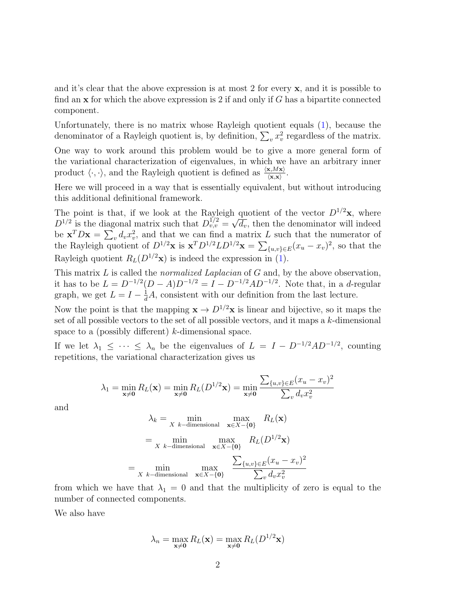and it's clear that the above expression is at most 2 for every  $x$ , and it is possible to find an  $x$  for which the above expression is 2 if and only if  $G$  has a bipartite connected component.

Unfortunately, there is no matrix whose Rayleigh quotient equals [\(1\)](#page-0-0), because the denominator of a Rayleigh quotient is, by definition,  $\sum_{v} x_v^2$  regardless of the matrix.

One way to work around this problem would be to give a more general form of the variational characterization of eigenvalues, in which we have an arbitrary inner product  $\langle \cdot, \cdot \rangle$ , and the Rayleigh quotient is defined as  $\frac{\langle \mathbf{x}, M\mathbf{x} \rangle}{\langle \mathbf{x}, \mathbf{x} \rangle}$ .

Here we will proceed in a way that is essentially equivalent, but without introducing this additional definitional framework.

The point is that, if we look at the Rayleigh quotient of the vector  $D^{1/2}$ **x**, where  $D^{1/2}$  is the diagonal matrix such that  $D_{v,v}^{1/2} = \sqrt{d_v}$ , then the denominator will indeed be  $\mathbf{x}^T D \mathbf{x} = \sum_v d_v x_v^2$ , and that we can find a matrix L such that the numerator of the Rayleigh quotient of  $D^{1/2}$ **x** is  $\mathbf{x}^T D^{1/2} L D^{1/2} \mathbf{x} = \sum_{\{u,v\} \in E} (x_u - x_v)^2$ , so that the Rayleigh quotient  $R_L(D^{1/2}x)$  is indeed the expression in [\(1\)](#page-0-0).

This matrix L is called the *normalized Laplacian* of G and, by the above observation, it has to be  $L = D^{-1/2}(D - A)D^{-1/2} = I - D^{-1/2}AD^{-1/2}$ . Note that, in a d-regular graph, we get  $L = I - \frac{1}{d}A$ , consistent with our definition from the last lecture.

Now the point is that the mapping  $\mathbf{x} \to D^{1/2}\mathbf{x}$  is linear and bijective, so it maps the set of all possible vectors to the set of all possible vectors, and it maps a  $k$ -dimensional space to a (possibly different) k-dimensional space.

If we let  $\lambda_1 \leq \cdots \leq \lambda_n$  be the eigenvalues of  $L = I - D^{-1/2}AD^{-1/2}$ , counting repetitions, the variational characterization gives us

$$
\lambda_1 = \min_{\mathbf{x} \neq \mathbf{0}} R_L(\mathbf{x}) = \min_{\mathbf{x} \neq \mathbf{0}} R_L(D^{1/2}\mathbf{x}) = \min_{\mathbf{x} \neq \mathbf{0}} \frac{\sum_{\{u,v\} \in E} (x_u - x_v)^2}{\sum_v d_v x_v^2}
$$

and

$$
\lambda_k = \min_{X \text{ } k-\text{dimensional}} \max_{\mathbf{x} \in X - \{0\}} R_L(\mathbf{x})
$$

$$
= \min_{X \text{ } k-\text{dimensional}} \max_{\mathbf{x} \in X - \{0\}} R_L(D^{1/2}\mathbf{x})
$$

$$
= \min_{X \text{ } k-\text{dimensional}} \max_{\mathbf{x} \in X - \{0\}} \frac{\sum_{\{u,v\} \in E} (x_u - x_v)^2}{\sum_v d_v x_v^2}
$$

from which we have that  $\lambda_1 = 0$  and that the multiplicity of zero is equal to the number of connected components.

We also have

$$
\lambda_n = \max_{\mathbf{x} \neq \mathbf{0}} R_L(\mathbf{x}) = \max_{\mathbf{x} \neq \mathbf{0}} R_L(D^{1/2}\mathbf{x})
$$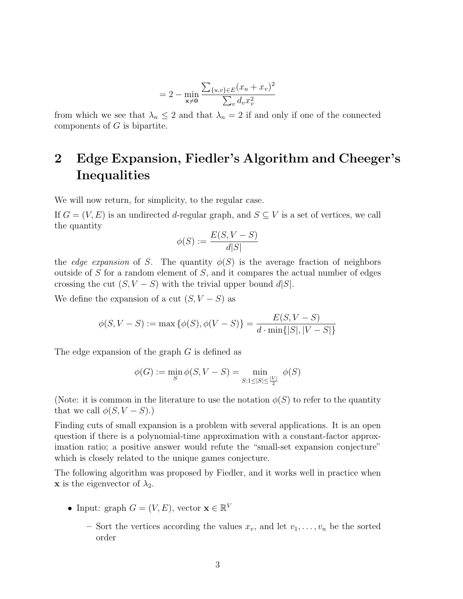$$
= 2 - \min_{\mathbf{x} \neq \mathbf{0}} \frac{\sum_{\{u,v\} \in E} (x_u + x_v)^2}{\sum_{v} d_v x_v^2}
$$

from which we see that  $\lambda_n \leq 2$  and that  $\lambda_n = 2$  if and only if one of the connected components of  $G$  is bipartite.

## 2 Edge Expansion, Fiedler's Algorithm and Cheeger's **Inequalities**

We will now return, for simplicity, to the regular case.

If  $G = (V, E)$  is an undirected d-regular graph, and  $S \subseteq V$  is a set of vertices, we call the quantity

$$
\phi(S) := \frac{E(S, V - S)}{d|S|}
$$

the edge expansion of S. The quantity  $\phi(S)$  is the average fraction of neighbors outside of S for a random element of S, and it compares the actual number of edges crossing the cut  $(S, V - S)$  with the trivial upper bound d|S|.

We define the expansion of a cut  $(S, V - S)$  as

$$
\phi(S, V - S) := \max \{ \phi(S), \phi(V - S) \} = \frac{E(S, V - S)}{d \cdot \min\{|S|, |V - S|\}}
$$

The edge expansion of the graph G is defined as

$$
\phi(G) := \min_{S} \phi(S, V - S) = \min_{S: 1 \le |S| \le \frac{|V|}{2}} \phi(S)
$$

(Note: it is common in the literature to use the notation  $\phi(S)$  to refer to the quantity that we call  $\phi(S, V - S)$ .

Finding cuts of small expansion is a problem with several applications. It is an open question if there is a polynomial-time approximation with a constant-factor approximation ratio; a positive answer would refute the "small-set expansion conjecture" which is closely related to the unique games conjecture.

The following algorithm was proposed by Fiedler, and it works well in practice when **x** is the eigenvector of  $\lambda_2$ .

- Input: graph  $G = (V, E)$ , vector  $\mathbf{x} \in \mathbb{R}^V$ 
	- Sort the vertices according the values  $x_v$ , and let  $v_1, \ldots, v_n$  be the sorted order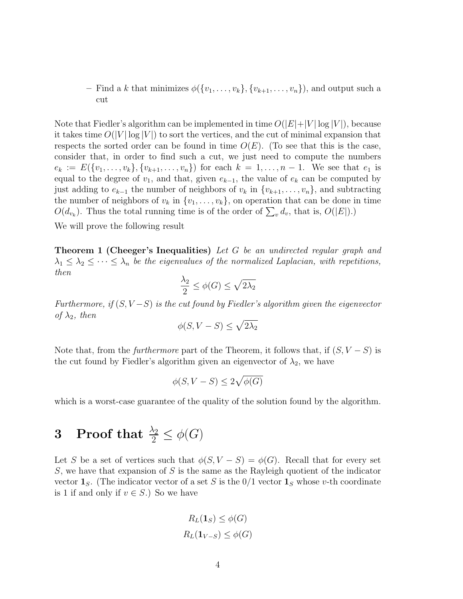– Find a k that minimizes  $\phi({v_1, \ldots, v_k}, {v_{k+1}, \ldots, v_n})$ , and output such a cut

Note that Fiedler's algorithm can be implemented in time  $O(|E|+|V| \log |V|)$ , because it takes time  $O(|V| \log |V|)$  to sort the vertices, and the cut of minimal expansion that respects the sorted order can be found in time  $O(E)$ . (To see that this is the case, consider that, in order to find such a cut, we just need to compute the numbers  $e_k := E({v_1, \ldots, v_k}, {v_{k+1}, \ldots, v_n})$  for each  $k = 1, \ldots, n-1$ . We see that  $e_1$  is equal to the degree of  $v_1$ , and that, given  $e_{k-1}$ , the value of  $e_k$  can be computed by just adding to  $e_{k-1}$  the number of neighbors of  $v_k$  in  $\{v_{k+1}, \ldots, v_n\}$ , and subtracting the number of neighbors of  $v_k$  in  $\{v_1, \ldots, v_k\}$ , on operation that can be done in time  $O(d_{v_k})$ . Thus the total running time is of the order of  $\sum_v d_v$ , that is,  $O(|E|)$ .)

<span id="page-3-0"></span>We will prove the following result

**Theorem 1 (Cheeger's Inequalities)** Let G be an undirected regular graph and  $\lambda_1 \leq \lambda_2 \leq \cdots \leq \lambda_n$  be the eigenvalues of the normalized Laplacian, with repetitions, then

$$
\frac{\lambda_2}{2} \le \phi(G) \le \sqrt{2\lambda_2}
$$

Furthermore, if  $(S, V-S)$  is the cut found by Fiedler's algorithm given the eigenvector of  $\lambda_2$ , then

$$
\phi(S, V - S) \le \sqrt{2\lambda_2}
$$

Note that, from the *furthermore* part of the Theorem, it follows that, if  $(S, V - S)$  is the cut found by Fiedler's algorithm given an eigenvector of  $\lambda_2$ , we have

$$
\phi(S, V - S) \le 2\sqrt{\phi(G)}
$$

which is a worst-case guarantee of the quality of the solution found by the algorithm.

# 3 Proof that  $\frac{\lambda_2}{2} \leq \phi(G)$

Let S be a set of vertices such that  $\phi(S, V - S) = \phi(G)$ . Recall that for every set  $S$ , we have that expansion of S is the same as the Rayleigh quotient of the indicator vector  $\mathbf{1}_S$ . (The indicator vector of a set S is the 0/1 vector  $\mathbf{1}_S$  whose v-th coordinate is 1 if and only if  $v \in S$ .) So we have

$$
R_L(\mathbf{1}_S) \le \phi(G)
$$
  

$$
R_L(\mathbf{1}_{V-S}) \le \phi(G)
$$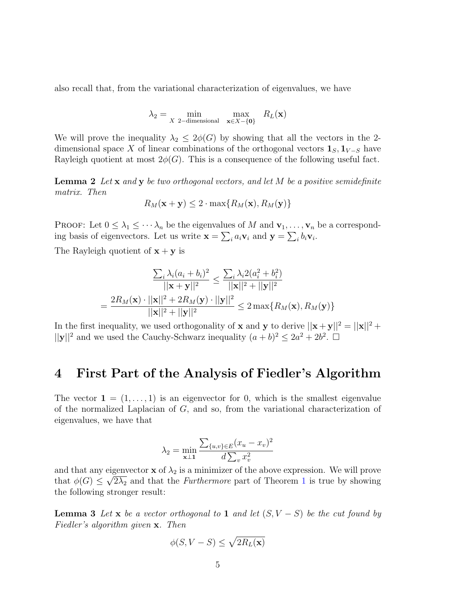also recall that, from the variational characterization of eigenvalues, we have

$$
\lambda_2 = \min_{X \ 2-\text{dimensional}} \ \max_{\mathbf{x} \in X - \{\mathbf{0}\}} \ R_L(\mathbf{x})
$$

We will prove the inequality  $\lambda_2 \leq 2\phi(G)$  by showing that all the vectors in the 2dimensional space X of linear combinations of the orthogonal vectors  $\mathbf{1}_S, \mathbf{1}_{V-S}$  have Rayleigh quotient at most  $2\phi(G)$ . This is a consequence of the following useful fact.

**Lemma 2** Let  $\bf{x}$  and  $\bf{y}$  be two orthogonal vectors, and let M be a positive semidefinite matrix. Then

$$
R_M(\mathbf{x} + \mathbf{y}) \le 2 \cdot \max\{R_M(\mathbf{x}), R_M(\mathbf{y})\}
$$

PROOF: Let  $0 \leq \lambda_1 \leq \cdots \lambda_n$  be the eigenvalues of M and  $\mathbf{v}_1, \ldots, \mathbf{v}_n$  be a corresponding basis of eigenvectors. Let us write  $\mathbf{x} = \sum_i a_i \mathbf{v}_i$  and  $\mathbf{y} = \sum_i b_i \mathbf{v}_i$ .

The Rayleigh quotient of  $\mathbf{x} + \mathbf{y}$  is

$$
\frac{\sum_{i} \lambda_{i} (a_{i} + b_{i})^{2}}{||\mathbf{x} + \mathbf{y}||^{2}} \leq \frac{\sum_{i} \lambda_{i} 2(a_{i}^{2} + b_{i}^{2})}{||\mathbf{x}||^{2} + ||\mathbf{y}||^{2}}
$$

$$
= \frac{2R_{M}(\mathbf{x}) \cdot ||\mathbf{x}||^{2} + 2R_{M}(\mathbf{y}) \cdot ||\mathbf{y}||^{2}}{||\mathbf{x}||^{2} + ||\mathbf{y}||^{2}} \leq 2 \max\{R_{M}(\mathbf{x}), R_{M}(\mathbf{y})\}
$$

In the first inequality, we used orthogonality of **x** and **y** to derive  $||\mathbf{x} + \mathbf{y}||^2 = ||\mathbf{x}||^2 +$  $||\mathbf{y}||^2$  and we used the Cauchy-Schwarz inequality  $(a + b)^2 \leq 2a^2 + 2b^2$ .

#### 4 First Part of the Analysis of Fiedler's Algorithm

The vector  $\mathbf{1} = (1, \ldots, 1)$  is an eigenvector for 0, which is the smallest eigenvalue of the normalized Laplacian of  $G$ , and so, from the variational characterization of eigenvalues, we have that

$$
\lambda_2 = \min_{\mathbf{x} \perp \mathbf{1}} \frac{\sum_{\{u,v\} \in E} (x_u - x_v)^2}{d \sum_{v} x_v^2}
$$

and that any eigenvector **x** of  $\lambda_2$  is a minimizer of the above expression. We will prove that  $\phi(G) \leq \sqrt{2\lambda_2}$  and that the *Furthermore* part of Theorem [1](#page-3-0) is true by showing the following stronger result:

<span id="page-4-0"></span>**Lemma 3** Let x be a vector orthogonal to 1 and let  $(S, V - S)$  be the cut found by Fiedler's algorithm given x. Then

$$
\phi(S, V - S) \le \sqrt{2R_L(\mathbf{x})}
$$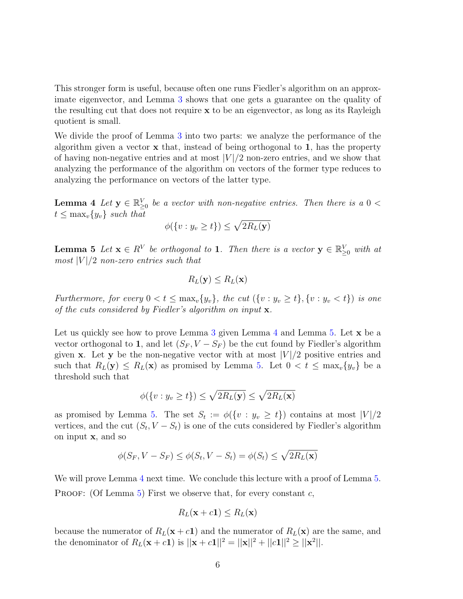This stronger form is useful, because often one runs Fiedler's algorithm on an approximate eigenvector, and Lemma [3](#page-4-0) shows that one gets a guarantee on the quality of the resulting cut that does not require x to be an eigenvector, as long as its Rayleigh quotient is small.

We divide the proof of Lemma [3](#page-4-0) into two parts: we analyze the performance of the algorithm given a vector  $x$  that, instead of being orthogonal to 1, has the property of having non-negative entries and at most  $|V|/2$  non-zero entries, and we show that analyzing the performance of the algorithm on vectors of the former type reduces to analyzing the performance on vectors of the latter type.

<span id="page-5-0"></span>**Lemma 4** Let  $y \in \mathbb{R}_{\geq 0}^V$  be a vector with non-negative entries. Then there is a  $0 <$  $t \leq \max_v \{y_v\}$  such that

$$
\phi(\{v: y_v \ge t\}) \le \sqrt{2R_L(\mathbf{y})}
$$

<span id="page-5-1"></span>**Lemma 5** Let  $\mathbf{x} \in R^V$  be orthogonal to 1. Then there is a vector  $\mathbf{y} \in \mathbb{R}_{\geq 0}^V$  with at most  $|V|/2$  non-zero entries such that

$$
R_L(\mathbf{y}) \leq R_L(\mathbf{x})
$$

Furthermore, for every  $0 < t \leq \max_{v} \{y_v\}$ , the cut  $(\{v : y_v \geq t\}, \{v : y_v < t\})$  is one of the cuts considered by Fiedler's algorithm on input  $\mathbf{x}$ .

Let us quickly see how to prove Lemma [3](#page-4-0) given Lemma  $4$  and Lemma  $5$ . Let  $\bf{x}$  be a vector orthogonal to 1, and let  $(S_F, V - S_F)$  be the cut found by Fiedler's algorithm given **x**. Let **y** be the non-negative vector with at most  $|V|/2$  positive entries and such that  $R_L(\mathbf{y}) \leq R_L(\mathbf{x})$  as promised by Lemma [5.](#page-5-1) Let  $0 < t \leq \max_v \{y_v\}$  be a threshold such that

$$
\phi(\{v: y_v \ge t\}) \le \sqrt{2R_L(\mathbf{y})} \le \sqrt{2R_L(\mathbf{x})}
$$

as promised by Lemma [5.](#page-5-1) The set  $S_t := \phi({v : y_v \ge t})$  contains at most  $|V|/2$ vertices, and the cut  $(S_t, V - S_t)$  is one of the cuts considered by Fiedler's algorithm on input x, and so

$$
\phi(S_F, V - S_F) \le \phi(S_t, V - S_t) = \phi(S_t) \le \sqrt{2R_L(\mathbf{x})}
$$

We will prove Lemma [4](#page-5-0) next time. We conclude this lecture with a proof of Lemma [5.](#page-5-1) **PROOF:** (Of Lemma [5\)](#page-5-1) First we observe that, for every constant  $c$ ,

$$
R_L(\mathbf{x} + c\mathbf{1}) \leq R_L(\mathbf{x})
$$

because the numerator of  $R_L(\mathbf{x} + c\mathbf{1})$  and the numerator of  $R_L(\mathbf{x})$  are the same, and the denominator of  $R_L(\mathbf{x} + c\mathbf{1})$  is  $||\mathbf{x} + c\mathbf{1}||^2 = ||\mathbf{x}||^2 + ||c\mathbf{1}||^2 \ge ||\mathbf{x}^2||.$